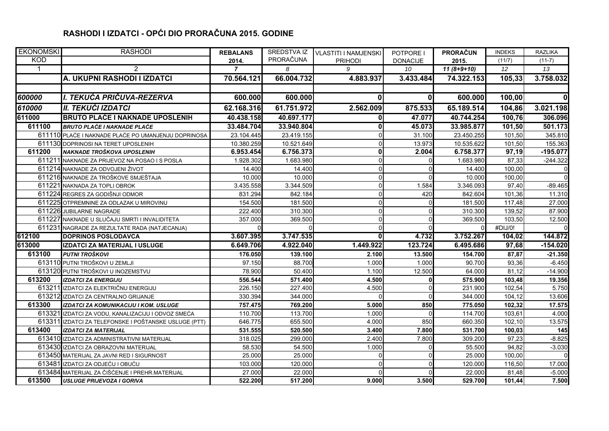## **RASHODI I IZDATCI - OPĆI DIO PRORAČUNA 2015. GODINE**

| <b>EKONOMSKI</b> | <b>RASHODI</b>                                        | <b>REBALANS</b> | SREDSTVA IZ | <b>VLASTITI I NAMJENSKI</b> | POTPORE I       | <b>PRORAČUN</b> | <b>INDEKS</b>   | <b>RAZLIKA</b> |
|------------------|-------------------------------------------------------|-----------------|-------------|-----------------------------|-----------------|-----------------|-----------------|----------------|
| <b>KOD</b>       |                                                       | 2014.           | PRORAČUNA   | <b>PRIHODI</b>              | <b>DONACIJE</b> | 2015.           | (11/7)          | $(11-7)$       |
| -1               | $\overline{2}$                                        |                 | 8           | 9                           | 10              | $11(8+9+10)$    | 12 <sup>°</sup> | 13             |
|                  | A. UKUPNI RASHODI I IZDATCI                           | 70.564.121      | 66.004.732  | 4.883.937                   | 3.433.484       | 74.322.153      | 105,33          | 3.758.032      |
|                  |                                                       |                 |             |                             |                 |                 |                 |                |
| 600000           | I. TEKUĆA PRIČUVA-REZERVA                             | 600.000         | 600.000     | $\mathbf{0}$                | 0               | 600.000         | 100,00          | ΟI             |
| 610000           | II. TEKUĆI IZDATCI                                    | 62.168.316      | 61.751.972  | 2.562.009                   | 875.533         | 65.189.514      | 104,86          | 3.021.198      |
| 611000           | <b>BRUTO PLACE I NAKNADE UPOSLENIH</b>                | 40.438.158      | 40.697.177  | 0                           | 47.077          | 40.744.254      | 100,76          | 306.096        |
| 611100           | <b>BRUTO PLAĆE I NAKNADE PLAĆE</b>                    | 33.484.704      | 33.940.804  | 0                           | 45.073          | 33.985.877      | 101,50          | 501.173        |
|                  | 611110 PLAĆE I NAKNADE PLAĆE PO UMANJENJU DOPRINOSA   | 23.104.445      | 23.419.155  | $\Omega$                    | 31.100          | 23.450.255      | 101,50          | 345.810        |
|                  | 611130 DOPRINOSI NA TERET UPOSLENIH                   | 10.380.259      | 10.521.649  | $\Omega$                    | 13.973          | 10.535.622      | 101,50          | 155.363        |
| 611200           | NAKNADE TROŠKOVA UPOSLENIH                            | 6.953.454       | 6.756.373   | $\mathbf{0}$                | 2.004           | 6.758.377       | 97,19           | $-195.077$     |
|                  | 611211 NAKNADE ZA PRIJEVOZ NA POSAO I S POSLA         | 1.928.302       | 1.683.980   | $\Omega$                    |                 | 1.683.980       | 87,33           | $-244.322$     |
|                  | 611214 NAKNADE ZA ODVOJENI ŽIVOT                      | 14.400          | 14.400      | $\overline{0}$              |                 | 14.400          | 100,00          | $\overline{0}$ |
|                  | 611216 NAKNADE ZA TROŠKOVE SMJEŠTAJA                  | 10.000          | 10.000      | $\overline{0}$              |                 | 10.000          | 100,00          | $\Omega$       |
|                  | 611221 NAKNADA ZA TOPLI OBROK                         | 3.435.558       | 3.344.509   | $\Omega$                    | 1.584           | 3.346.093       | 97,40           | $-89.465$      |
|                  | 611224 REGRES ZA GODIŠNJI ODMOR                       | 831.294         | 842.184     | $\overline{0}$              | 420             | 842.604         | 101,36          | 11.310         |
|                  | 611225 OTPREMNINE ZA ODLAZAK U MIROVINU               | 154.500         | 181.500     | $\Omega$                    |                 | 181.500         | 117,48          | 27.000         |
|                  | 611226 JUBILARNE NAGRADE                              | 222.400         | 310.300     | $\Omega$                    | $\Omega$        | 310.300         | 139,52          | 87.900         |
|                  | 611227 NAKNADE U SLUČAJU SMRTI I INVALIDITETA         | 357.000         | 369.500     | $\Omega$                    |                 | 369.500         | 103,50          | 12.500         |
|                  | 611231 NAGRADE ZA REZULTATE RADA (NATJECANJA)         |                 |             | $\Omega$                    |                 |                 | #DIJ/0!         | $\Omega$       |
| 612100           | <b>DOPRINOS POSLODAVCA</b>                            | 3.607.395       | 3.747.535   | $\mathbf{0}$                | 4.732           | 3.752.267       | 104,02          | 144.872        |
| 613000           | IZDATCI ZA MATERIJAL I USLUGE                         | 6.649.706       | 4.922.040   | 1.449.922                   | 123.724         | 6.495.686       | 97,68           | $-154.020$     |
| 613100           | PUTNI TROŠKOVI                                        | 176.050         | 139.100     | 2.100                       | 13.500          | 154.700         | 87,87           | $-21.350$      |
|                  | 613110 PUTNI TROŠKOVI U ZEMLJI                        | 97.150          | 88.700      | 1.000                       | 1.000           | 90.700          | 93,36           | $-6.450$       |
|                  | 613120 PUTNI TROŠKOVI U INOZEMSTVU                    | 78.900          | 50.400      | 1.100                       | 12.500          | 64.000          | 81,12           | $-14.900$      |
| 613200           | <b>IZDATCI ZA ENERGIJU</b>                            | 556.544         | 571.400     | 4.500                       | O               | 575.900         | 103,48          | 19.356         |
|                  | 613211 IZDATCI ZA ELEKTRIČNU ENERGIJU                 | 226.150         | 227.400     | 4.500                       | $\Omega$        | 231.900         | 102,54          | 5.750          |
|                  | 613212 IZDATCI ZA CENTRALNO GRIJANJE                  | 330.394         | 344.000     | $\Omega$                    | $\Omega$        | 344.000         | 104,12          | 13.606         |
| 613300           | IZDATCI ZA KOMUNIKACIJU I KOM. USLUGE                 | 757.475         | 769.200     | 5.000                       | 850             | 775.050         | 102,32          | 17.575         |
|                  | 613321 IZDATCI ZA VODU, KANALIZACIJU I ODVOZ SMEĆA    | 110.700         | 113.700     | 1.000                       |                 | 114.700         | 103,61          | 4.000          |
|                  | 613311 IZDATCI ZA TELEFONSKE I POŠTANSKE USLUGE (PTT) | 646.775         | 655.500     | 4.000                       | 850             | 660.350         | 102,10          | 13.575         |
| 613400           | <b>IZDATCI ZA MATERIJAL</b>                           | 531.555         | 520.500     | 3.400                       | 7.800           | 531.700         | 100,03          | 145            |
|                  | 613410 IZDATCI ZA ADMINISTRATIVNI MATERIJAL           | 318.025         | 299.000     | 2.400                       | 7.800           | 309.200         | 97,23           | $-8.825$       |
|                  | 613430 IZDATCI ZA OBRAZOVNI MATERIJAL                 | 58.530          | 54.500      | 1.000                       | $\Omega$        | 55.500          | 94,82           | $-3.030$       |
|                  | 613450 MATERIJAL ZA JAVNI RED I SIGURNOST             | 25.000          | 25.000      | $\Omega$                    | <sup>0</sup>    | 25.000          | 100,00          | $\Omega$       |
|                  | 613481 IZDATCI ZA ODJEĆU I OBUĆU                      | 103.000         | 120.000     | $\overline{0}$              |                 | 120.000         | 116,50          | 17.000         |
|                  | 613484 MATERIJAL ZA ČIŠĆENJE I PREHR.MATERIJAL        | 27.000          | 22.000      | $\Omega$                    |                 | 22.000          | 81,48           | $-5.000$       |
| 613500           | <b>USLUGE PRIJEVOZA I GORIVA</b>                      | 522.200         | 517.200     | 9.000                       | 3.500           | 529.700         | 101,44          | 7.500          |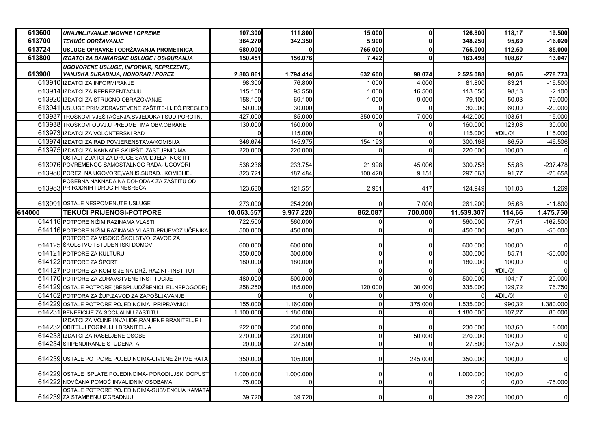| 613600 | <b>UNAJMLJIVANJE IMOVINE I OPREME</b>                                         | 107.300    | 111.800   | 15.000       | O       | 126.800    | 118,17  | 19.500         |
|--------|-------------------------------------------------------------------------------|------------|-----------|--------------|---------|------------|---------|----------------|
| 613700 | <b>TEKUĆE ODRŽAVANJE</b>                                                      | 364.270    | 342.350   | 5.900        |         | 348,250    | 95,60   | $-16.020$      |
| 613724 | USLUGE OPRAVKE I ODRŽAVANJA PROMETNICA                                        | 680.000    |           | 765.000      | U       | 765.000    | 112,50  | 85.000         |
| 613800 | IZDATCI ZA BANKARSKE USLUGE I OSIGURANJA                                      | 150.451    | 156.076   | 7.422        |         | 163.498    | 108,67  | 13.047         |
|        | <b>UGOVORENE USLUGE, INFORMIR, REPREZENT.,</b>                                |            |           |              |         |            |         |                |
| 613900 | VANJSKA SURADNJA, HONORAR I POREZ                                             | 2.803.861  | 1.794.414 | 632.600      | 98.074  | 2.525.088  | 90,06   | -278.773       |
|        | 613910 IZDATCI ZA INFORMIRANJE                                                | 98.300     | 76.800    | 1.000        | 4.000   | 81.800     | 83,21   | $-16.500$      |
|        | 613914 IZDATCI ZA REPREZENTACIJU                                              | 115.150    | 95.550    | 1.000        | 16.500  | 113.050    | 98,18   | $-2.100$       |
|        | 613920 IZDATCI ZA STRUČNO OBRAZOVANJE                                         | 158.100    | 69.100    | 1.000        | 9.000   | 79.100     | 50,03   | $-79.000$      |
|        | 613941 USLUGE PRIM.ZDRAVSTVENE ZAŠTITE-LIJEČ.PREGLED                          | 50.000     | 30.000    | $\Omega$     |         | 30.000     | 60,00   | $-20.000$      |
|        | 613937 TROŠKOVI VJEŠTAČENJA, SVJEDOKA I SUD. POROTN.                          | 427.000    | 85.000    | 350.000      | 7.000   | 442.000    | 103,51  | 15.000         |
|        | 613938 TROŠKOVI ODVJ.U PREDMETIMA OBV.OBRANE                                  | 130.000    | 160.000   | $\Omega$     |         | 160.000    | 123,08  | 30.000         |
|        | 613973 IZDATCI ZA VOLONTERSKI RAD                                             |            | 115.000   | $\Omega$     |         | 115.000    | #DIJ/0! | 115.000        |
|        | 613974 IZDATCI ZA RAD POVJERENSTAVA/KOMISIJA                                  | 346.674    | 145.975   | 154.193      |         | 300.168    | 86,59   | $-46.506$      |
|        | 613975 IZDATCI ZA NAKNADE SKUPŠT. ZASTUPNICIMA                                | 220.000    | 220.000   | $\Omega$     |         | 220.000    | 100,00  | $\Omega$       |
|        | OSTALI IZDATCI ZA DRUGE SAM. DJELATNOSTI I                                    |            |           |              |         |            |         |                |
|        | 613976 POVREMENOG SAMOSTALNOG RADA- UGOVORI                                   | 538.236    | 233.754   | 21.998       | 45.006  | 300.758    | 55,88   | -237.478       |
|        | 613980 POREZI NA UGOVORE, VANJS. SURAD., KOMISIJE                             | 323.721    | 187.484   | 100.428      | 9.151   | 297.063    | 91.77   | $-26.658$      |
|        | POSEBNA NAKNADA NA DOHODAK ZA ZAŠTITU OD<br>613983 PRIRODNIH I DRUGIH NESREĆA | 123.680    | 121.551   | 2.981        | 417     | 124.949    | 101,03  | 1.269          |
|        |                                                                               |            |           |              |         |            |         |                |
|        | 613991 OSTALE NESPOMENUTE USLUGE                                              | 273.000    | 254.200   |              | 7.000   | 261.200    | 95,68   | $-11.800$      |
| 614000 | <b>TEKUCI PRIJENOSI-POTPORE</b>                                               | 10.063.557 | 9.977.220 | 862.087      | 700.000 | 11.539.307 | 114,66  | 1.475.750      |
|        | 614116 POTPORE NIŽIM RAZINAMA VLASTI                                          | 722.500    | 560.000   |              |         | 560.000    | 77,51   | $-162.500$     |
|        | 614116 POTPORE NIŽIM RAZINAMA VLASTI-PRIJEVOZ UČENIKA                         | 500.000    | 450.000   |              |         | 450.000    | 90,00   | $-50.000$      |
|        | POTPORE ZA VISOKO ŠKOLSTVO, ZAVOD ZA                                          |            |           |              |         |            |         |                |
|        | 614125 ŠKOLSTVO I STUDENTSKI DOMOVI                                           | 600.000    | 600.000   | O            |         | 600.000    | 100,00  |                |
|        | 614121 POTPORE ZA KULTURU                                                     | 350.000    | 300.000   | $\Omega$     |         | 300.000    | 85,71   | $-50.000$      |
|        | 614122 POTPORE ZA ŠPORT                                                       | 180.000    | 180.000   | $\mathbf 0$  |         | 180.000    | 100,00  |                |
|        | 614127 POTPORE ZA KOMISIJE NA DRŽ. RAZINI - INSTITUT                          |            | $\Omega$  | $\Omega$     |         |            | #DIJ/0! |                |
|        | 614170 POTPORE ZA ZDRAVSTVENE INSTITUCIJE                                     | 480.000    | 500.000   | $\Omega$     |         | 500.000    | 104,17  | 20.000         |
|        | 614129 OSTALE POTPORE-(BESPL.UDŽBENICI, EL.NEPOGODE)                          | 258.250    | 185.000   | 120.000      | 30,000  | 335.000    | 129.72  | 76.750         |
|        | 614162 POTPORA ZA ŽUP ZAVOD ZA ZAPOŠLJAVANJE                                  |            |           | $\mathbf{0}$ |         |            | #DIJ/0! |                |
|        | 614229 OSTALE POTPORE POJEDINCIMA- PRIPRAVNICI                                | 155.000    | 1.160.000 | $\Omega$     | 375.000 | 1.535.000  | 990,32  | 1.380.000      |
|        | 614231 BENEFICIJE ZA SOCIJALNU ZAŠTITU                                        | 1.100.000  | 1.180.000 | $\Omega$     |         | 1.180.000  | 107,27  | 80.000         |
|        | IZDATCI ZA VOJNE INVALIDE,RANJENE BRANITELJE I                                |            |           |              |         |            |         |                |
|        | 614232 OBITELJI POGINULIH BRANITELJA                                          | 222.000    | 230.000   | $\Omega$     |         | 230.000    | 103,60  | 8.000          |
|        | 614233 IZDATCI ZA RASELJENE OSOBE                                             | 270.000    | 220.000   | $\Omega$     | 50.000  | 270.000    | 100,00  |                |
|        | 614234 STIPENDIRANJE STUDENATA                                                | 20.000     | 27.500    | $\Omega$     |         | 27.500     | 137,50  | 7.500          |
|        |                                                                               |            |           |              |         |            |         |                |
|        | 614239 OSTALE POTPORE POJEDINCIMA-CIVILNE ŽRTVE RATA                          | 350.000    | 105.000   | 0            | 245.000 | 350,000    | 100,00  |                |
|        |                                                                               |            |           |              |         |            |         |                |
|        | 614229 OSTALE ISPLATE POJEDINCIMA- PORODILJSKI DOPUST                         | 1.000.000  | 1.000.000 | $\mathbf{0}$ |         | 1.000.000  | 100,00  |                |
|        | 614222 NOVČANA POMOĆ INVALIDNIM OSOBAMA                                       | 75.000     |           | $\pmb{0}$    |         |            | 0,00    | $-75.000$      |
|        | OSTALE POTPORE POJEDINCIMA-SUBVENCIJA KAMATA<br>614239 ZA STAMBENU IZGRADNJU  | 39.720     | 39.720    | n            |         | 39.720     | 100,00  | $\overline{0}$ |
|        |                                                                               |            |           |              |         |            |         |                |